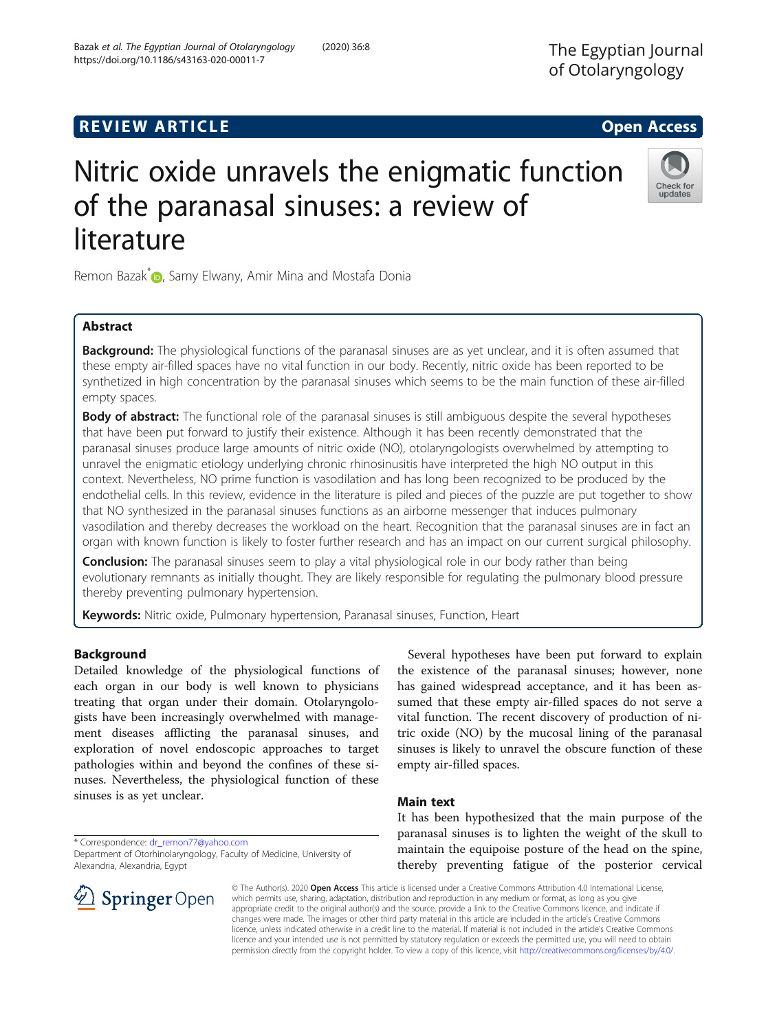# **REVIEW ARTICLE External intervention of the Community Community Community Community Community Community Community**

# Nitric oxide unravels the enigmatic function of the paranasal sinuses: a review of literature

Remon Bazak<sup>\*</sup> <sub>(b</sub>[,](http://orcid.org/0000-0003-3609-2026) Samy Elwany, Amir Mina and Mostafa Donia

# Abstract

**Background:** The physiological functions of the paranasal sinuses are as yet unclear, and it is often assumed that these empty air-filled spaces have no vital function in our body. Recently, nitric oxide has been reported to be synthetized in high concentration by the paranasal sinuses which seems to be the main function of these air-filled empty spaces.

**Body of abstract:** The functional role of the paranasal sinuses is still ambiguous despite the several hypotheses that have been put forward to justify their existence. Although it has been recently demonstrated that the paranasal sinuses produce large amounts of nitric oxide (NO), otolaryngologists overwhelmed by attempting to unravel the enigmatic etiology underlying chronic rhinosinusitis have interpreted the high NO output in this context. Nevertheless, NO prime function is vasodilation and has long been recognized to be produced by the endothelial cells. In this review, evidence in the literature is piled and pieces of the puzzle are put together to show that NO synthesized in the paranasal sinuses functions as an airborne messenger that induces pulmonary vasodilation and thereby decreases the workload on the heart. Recognition that the paranasal sinuses are in fact an organ with known function is likely to foster further research and has an impact on our current surgical philosophy.

**Conclusion:** The paranasal sinuses seem to play a vital physiological role in our body rather than being evolutionary remnants as initially thought. They are likely responsible for regulating the pulmonary blood pressure thereby preventing pulmonary hypertension.

Keywords: Nitric oxide, Pulmonary hypertension, Paranasal sinuses, Function, Heart

## Background

Detailed knowledge of the physiological functions of each organ in our body is well known to physicians treating that organ under their domain. Otolaryngologists have been increasingly overwhelmed with management diseases afflicting the paranasal sinuses, and exploration of novel endoscopic approaches to target pathologies within and beyond the confines of these sinuses. Nevertheless, the physiological function of these sinuses is as yet unclear.

\* Correspondence: [dr\\_remon77@yahoo.com](mailto:dr_remon77@yahoo.com)

Department of Otorhinolaryngology, Faculty of Medicine, University of

© The Author(s). 2020 Open Access This article is licensed under a Creative Commons Attribution 4.0 International License, which permits use, sharing, adaptation, distribution and reproduction in any medium or format, as long as you give appropriate credit to the original author(s) and the source, provide a link to the Creative Commons licence, and indicate if changes were made. The images or other third party material in this article are included in the article's Creative Commons licence, unless indicated otherwise in a credit line to the material. If material is not included in the article's Creative Commons licence and your intended use is not permitted by statutory regulation or exceeds the permitted use, you will need to obtain permission directly from the copyright holder. To view a copy of this licence, visit <http://creativecommons.org/licenses/by/4.0/>.

sinuses is likely to unravel the obscure function of these empty air-filled spaces. Main text It has been hypothesized that the main purpose of the

paranasal sinuses is to lighten the weight of the skull to maintain the equipoise posture of the head on the spine, thereby preventing fatigue of the posterior cervical

Several hypotheses have been put forward to explain the existence of the paranasal sinuses; however, none has gained widespread acceptance, and it has been assumed that these empty air-filled spaces do not serve a vital function. The recent discovery of production of nitric oxide (NO) by the mucosal lining of the paranasal





Alexandria, Alexandria, Egypt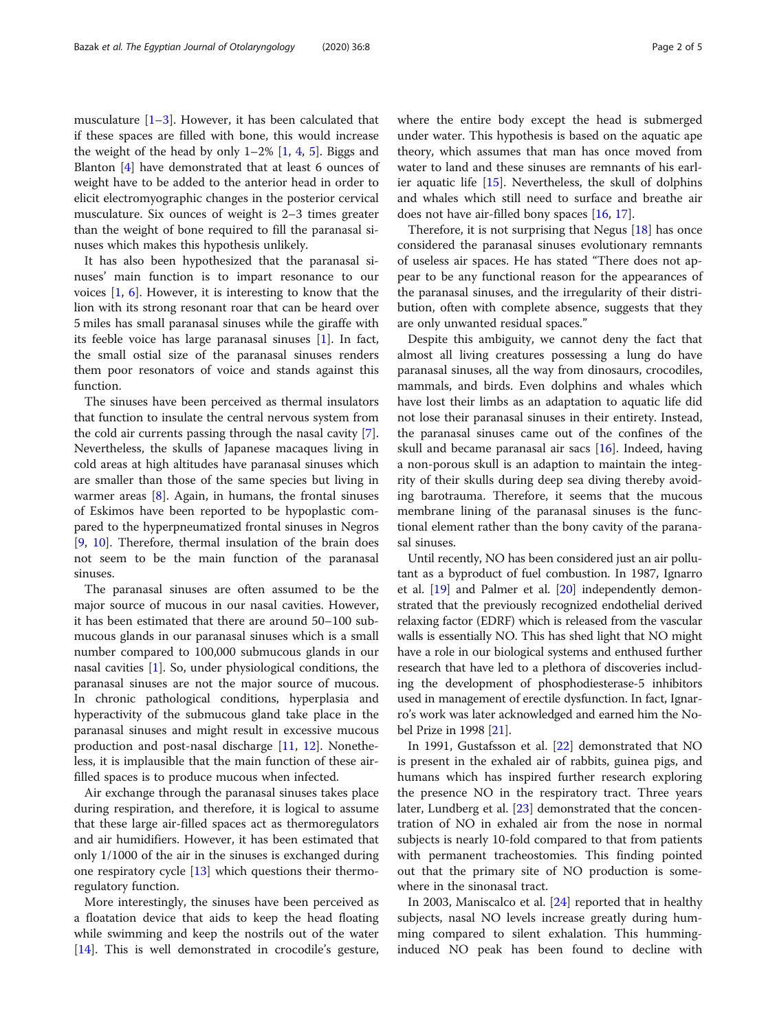musculature  $[1-3]$  $[1-3]$  $[1-3]$  $[1-3]$ . However, it has been calculated that if these spaces are filled with bone, this would increase the weight of the head by only  $1-2\%$  [\[1](#page-3-0), [4,](#page-3-0) [5\]](#page-3-0). Biggs and Blanton [\[4](#page-3-0)] have demonstrated that at least 6 ounces of weight have to be added to the anterior head in order to elicit electromyographic changes in the posterior cervical musculature. Six ounces of weight is 2–3 times greater than the weight of bone required to fill the paranasal sinuses which makes this hypothesis unlikely.

It has also been hypothesized that the paranasal sinuses' main function is to impart resonance to our voices [\[1](#page-3-0), [6\]](#page-3-0). However, it is interesting to know that the lion with its strong resonant roar that can be heard over 5 miles has small paranasal sinuses while the giraffe with its feeble voice has large paranasal sinuses [[1\]](#page-3-0). In fact, the small ostial size of the paranasal sinuses renders them poor resonators of voice and stands against this function.

The sinuses have been perceived as thermal insulators that function to insulate the central nervous system from the cold air currents passing through the nasal cavity [\[7](#page-3-0)]. Nevertheless, the skulls of Japanese macaques living in cold areas at high altitudes have paranasal sinuses which are smaller than those of the same species but living in warmer areas [\[8](#page-3-0)]. Again, in humans, the frontal sinuses of Eskimos have been reported to be hypoplastic compared to the hyperpneumatized frontal sinuses in Negros [[9,](#page-3-0) [10\]](#page-3-0). Therefore, thermal insulation of the brain does not seem to be the main function of the paranasal sinuses.

The paranasal sinuses are often assumed to be the major source of mucous in our nasal cavities. However, it has been estimated that there are around 50–100 submucous glands in our paranasal sinuses which is a small number compared to 100,000 submucous glands in our nasal cavities [[1\]](#page-3-0). So, under physiological conditions, the paranasal sinuses are not the major source of mucous. In chronic pathological conditions, hyperplasia and hyperactivity of the submucous gland take place in the paranasal sinuses and might result in excessive mucous production and post-nasal discharge [\[11](#page-3-0), [12](#page-3-0)]. Nonetheless, it is implausible that the main function of these airfilled spaces is to produce mucous when infected.

Air exchange through the paranasal sinuses takes place during respiration, and therefore, it is logical to assume that these large air-filled spaces act as thermoregulators and air humidifiers. However, it has been estimated that only 1/1000 of the air in the sinuses is exchanged during one respiratory cycle [[13\]](#page-3-0) which questions their thermoregulatory function.

More interestingly, the sinuses have been perceived as a floatation device that aids to keep the head floating while swimming and keep the nostrils out of the water [[14\]](#page-3-0). This is well demonstrated in crocodile's gesture, where the entire body except the head is submerged under water. This hypothesis is based on the aquatic ape theory, which assumes that man has once moved from water to land and these sinuses are remnants of his earlier aquatic life [\[15\]](#page-3-0). Nevertheless, the skull of dolphins and whales which still need to surface and breathe air does not have air-filled bony spaces [[16,](#page-3-0) [17](#page-3-0)].

Therefore, it is not surprising that Negus [[18\]](#page-3-0) has once considered the paranasal sinuses evolutionary remnants of useless air spaces. He has stated "There does not appear to be any functional reason for the appearances of the paranasal sinuses, and the irregularity of their distribution, often with complete absence, suggests that they are only unwanted residual spaces."

Despite this ambiguity, we cannot deny the fact that almost all living creatures possessing a lung do have paranasal sinuses, all the way from dinosaurs, crocodiles, mammals, and birds. Even dolphins and whales which have lost their limbs as an adaptation to aquatic life did not lose their paranasal sinuses in their entirety. Instead, the paranasal sinuses came out of the confines of the skull and became paranasal air sacs [\[16](#page-3-0)]. Indeed, having a non-porous skull is an adaption to maintain the integrity of their skulls during deep sea diving thereby avoiding barotrauma. Therefore, it seems that the mucous membrane lining of the paranasal sinuses is the functional element rather than the bony cavity of the paranasal sinuses.

Until recently, NO has been considered just an air pollutant as a byproduct of fuel combustion. In 1987, Ignarro et al. [[19](#page-3-0)] and Palmer et al. [\[20\]](#page-3-0) independently demonstrated that the previously recognized endothelial derived relaxing factor (EDRF) which is released from the vascular walls is essentially NO. This has shed light that NO might have a role in our biological systems and enthused further research that have led to a plethora of discoveries including the development of phosphodiesterase-5 inhibitors used in management of erectile dysfunction. In fact, Ignarro's work was later acknowledged and earned him the Nobel Prize in 1998 [\[21\]](#page-3-0).

In 1991, Gustafsson et al. [[22\]](#page-3-0) demonstrated that NO is present in the exhaled air of rabbits, guinea pigs, and humans which has inspired further research exploring the presence NO in the respiratory tract. Three years later, Lundberg et al. [\[23\]](#page-3-0) demonstrated that the concentration of NO in exhaled air from the nose in normal subjects is nearly 10-fold compared to that from patients with permanent tracheostomies. This finding pointed out that the primary site of NO production is somewhere in the sinonasal tract.

In 2003, Maniscalco et al. [[24](#page-3-0)] reported that in healthy subjects, nasal NO levels increase greatly during humming compared to silent exhalation. This humminginduced NO peak has been found to decline with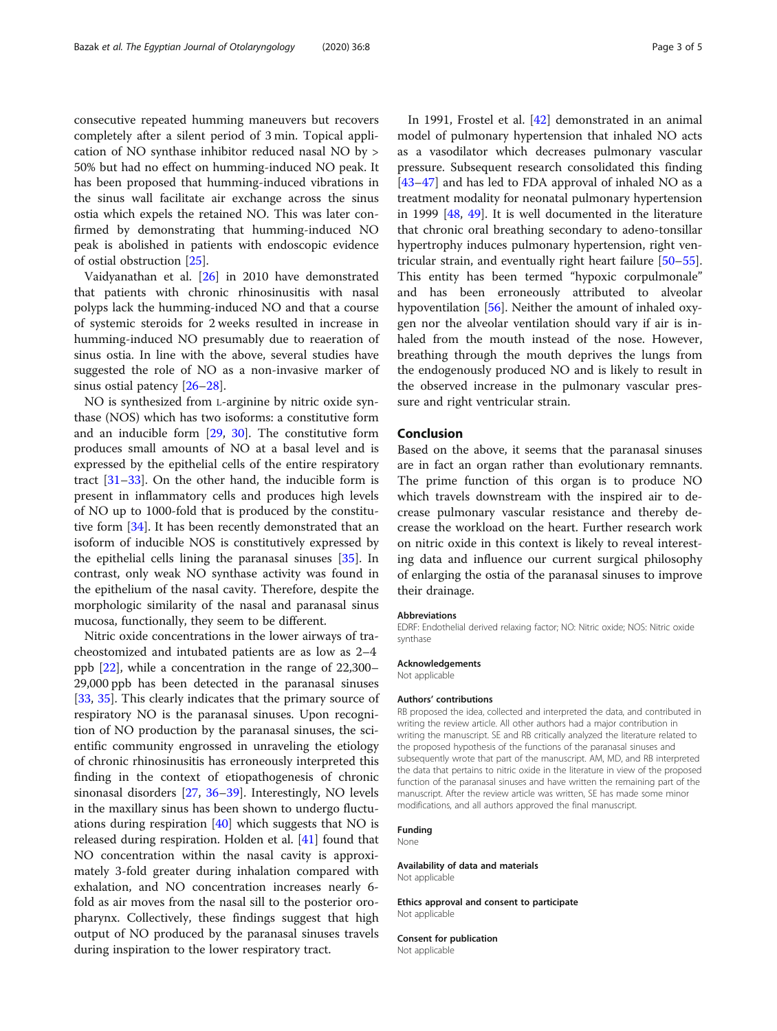consecutive repeated humming maneuvers but recovers completely after a silent period of 3 min. Topical application of NO synthase inhibitor reduced nasal NO by > 50% but had no effect on humming-induced NO peak. It has been proposed that humming-induced vibrations in the sinus wall facilitate air exchange across the sinus ostia which expels the retained NO. This was later confirmed by demonstrating that humming-induced NO peak is abolished in patients with endoscopic evidence of ostial obstruction [\[25\]](#page-3-0).

Vaidyanathan et al. [\[26](#page-3-0)] in 2010 have demonstrated that patients with chronic rhinosinusitis with nasal polyps lack the humming-induced NO and that a course of systemic steroids for 2 weeks resulted in increase in humming-induced NO presumably due to reaeration of sinus ostia. In line with the above, several studies have suggested the role of NO as a non-invasive marker of sinus ostial patency [[26](#page-3-0)–[28](#page-3-0)].

NO is synthesized from L-arginine by nitric oxide synthase (NOS) which has two isoforms: a constitutive form and an inducible form [[29,](#page-3-0) [30](#page-3-0)]. The constitutive form produces small amounts of NO at a basal level and is expressed by the epithelial cells of the entire respiratory tract [\[31](#page-3-0)–[33](#page-3-0)]. On the other hand, the inducible form is present in inflammatory cells and produces high levels of NO up to 1000-fold that is produced by the constitutive form [\[34](#page-3-0)]. It has been recently demonstrated that an isoform of inducible NOS is constitutively expressed by the epithelial cells lining the paranasal sinuses [\[35](#page-3-0)]. In contrast, only weak NO synthase activity was found in the epithelium of the nasal cavity. Therefore, despite the morphologic similarity of the nasal and paranasal sinus mucosa, functionally, they seem to be different.

Nitric oxide concentrations in the lower airways of tracheostomized and intubated patients are as low as 2–4 ppb [\[22\]](#page-3-0), while a concentration in the range of 22,300– 29,000 ppb has been detected in the paranasal sinuses [[33,](#page-3-0) [35\]](#page-3-0). This clearly indicates that the primary source of respiratory NO is the paranasal sinuses. Upon recognition of NO production by the paranasal sinuses, the scientific community engrossed in unraveling the etiology of chronic rhinosinusitis has erroneously interpreted this finding in the context of etiopathogenesis of chronic sinonasal disorders [\[27](#page-3-0), [36](#page-3-0)–[39\]](#page-3-0). Interestingly, NO levels in the maxillary sinus has been shown to undergo fluctuations during respiration [\[40](#page-3-0)] which suggests that NO is released during respiration. Holden et al. [\[41](#page-3-0)] found that NO concentration within the nasal cavity is approximately 3-fold greater during inhalation compared with exhalation, and NO concentration increases nearly 6 fold as air moves from the nasal sill to the posterior oropharynx. Collectively, these findings suggest that high output of NO produced by the paranasal sinuses travels during inspiration to the lower respiratory tract.

In 1991, Frostel et al. [\[42](#page-3-0)] demonstrated in an animal model of pulmonary hypertension that inhaled NO acts as a vasodilator which decreases pulmonary vascular pressure. Subsequent research consolidated this finding [[43](#page-3-0)–[47](#page-3-0)] and has led to FDA approval of inhaled NO as a treatment modality for neonatal pulmonary hypertension in 1999 [\[48,](#page-3-0) [49\]](#page-3-0). It is well documented in the literature that chronic oral breathing secondary to adeno-tonsillar hypertrophy induces pulmonary hypertension, right ventricular strain, and eventually right heart failure [[50](#page-3-0)–[55](#page-4-0)]. This entity has been termed "hypoxic corpulmonale" and has been erroneously attributed to alveolar hypoventilation [\[56](#page-4-0)]. Neither the amount of inhaled oxygen nor the alveolar ventilation should vary if air is inhaled from the mouth instead of the nose. However, breathing through the mouth deprives the lungs from the endogenously produced NO and is likely to result in the observed increase in the pulmonary vascular pressure and right ventricular strain.

#### Conclusion

Based on the above, it seems that the paranasal sinuses are in fact an organ rather than evolutionary remnants. The prime function of this organ is to produce NO which travels downstream with the inspired air to decrease pulmonary vascular resistance and thereby decrease the workload on the heart. Further research work on nitric oxide in this context is likely to reveal interesting data and influence our current surgical philosophy of enlarging the ostia of the paranasal sinuses to improve their drainage.

#### Abbreviations

EDRF: Endothelial derived relaxing factor; NO: Nitric oxide; NOS: Nitric oxide synthase

#### Acknowledgements

Not applicable

#### Authors' contributions

RB proposed the idea, collected and interpreted the data, and contributed in writing the review article. All other authors had a major contribution in writing the manuscript. SE and RB critically analyzed the literature related to the proposed hypothesis of the functions of the paranasal sinuses and subsequently wrote that part of the manuscript. AM, MD, and RB interpreted the data that pertains to nitric oxide in the literature in view of the proposed function of the paranasal sinuses and have written the remaining part of the manuscript. After the review article was written, SE has made some minor modifications, and all authors approved the final manuscript.

#### Funding

None

# Availability of data and materials

Not applicable

Ethics approval and consent to participate Not applicable

#### Consent for publication

Not applicable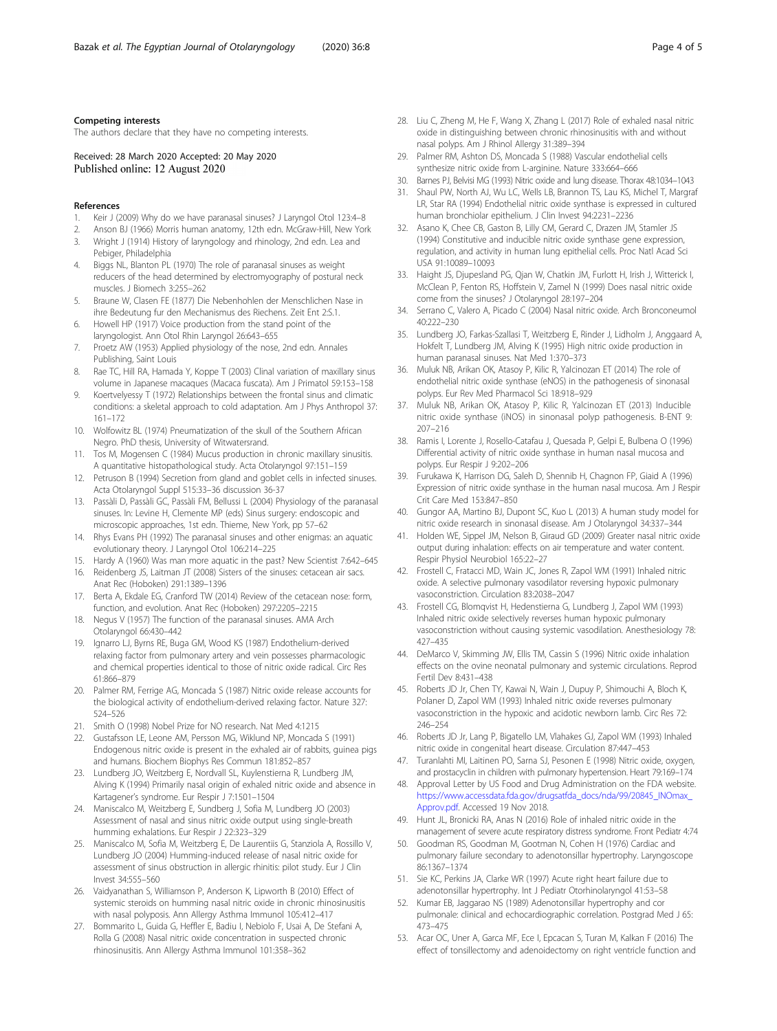#### <span id="page-3-0"></span>Competing interests

The authors declare that they have no competing interests.

Received: 28 March 2020 Accepted: 20 May 2020 Published online: 12 August 2020

#### References

- 1. Keir J (2009) Why do we have paranasal sinuses? J Laryngol Otol 123:4–8
- 2. Anson BJ (1966) Morris human anatomy, 12th edn. McGraw-Hill, New York 3. Wright J (1914) History of laryngology and rhinology, 2nd edn. Lea and
- Pebiger, Philadelphia 4. Biggs NL, Blanton PL (1970) The role of paranasal sinuses as weight
- reducers of the head determined by electromyography of postural neck muscles. J Biomech 3:255–262
- 5. Braune W, Clasen FE (1877) Die Nebenhohlen der Menschlichen Nase in ihre Bedeutung fur den Mechanismus des Riechens. Zeit Ent 2:S.1.
- 6. Howell HP (1917) Voice production from the stand point of the laryngologist. Ann Otol Rhin Laryngol 26:643–655
- 7. Proetz AW (1953) Applied physiology of the nose, 2nd edn. Annales Publishing, Saint Louis
- 8. Rae TC, Hill RA, Hamada Y, Koppe T (2003) Clinal variation of maxillary sinus volume in Japanese macaques (Macaca fuscata). Am J Primatol 59:153–158
- Koertvelyessy T (1972) Relationships between the frontal sinus and climatic conditions: a skeletal approach to cold adaptation. Am J Phys Anthropol 37: 161–172
- 10. Wolfowitz BL (1974) Pneumatization of the skull of the Southern African Negro. PhD thesis, University of Witwatersrand.
- 11. Tos M, Mogensen C (1984) Mucus production in chronic maxillary sinusitis. A quantitative histopathological study. Acta Otolaryngol 97:151–159
- 12. Petruson B (1994) Secretion from gland and goblet cells in infected sinuses. Acta Otolaryngol Suppl 515:33–36 discussion 36-37
- 13. Passàli D, Passàli GC, Passàli FM, Bellussi L (2004) Physiology of the paranasal sinuses. In: Levine H, Clemente MP (eds) Sinus surgery: endoscopic and microscopic approaches, 1st edn. Thieme, New York, pp 57–62
- 14. Rhys Evans PH (1992) The paranasal sinuses and other enigmas: an aquatic evolutionary theory. J Laryngol Otol 106:214–225
- 15. Hardy A (1960) Was man more aquatic in the past? New Scientist 7:642–645
- 16. Reidenberg JS, Laitman JT (2008) Sisters of the sinuses: cetacean air sacs. Anat Rec (Hoboken) 291:1389–1396
- 17. Berta A, Ekdale EG, Cranford TW (2014) Review of the cetacean nose: form, function, and evolution. Anat Rec (Hoboken) 297:2205–2215
- 18. Negus V (1957) The function of the paranasal sinuses. AMA Arch Otolaryngol 66:430–442
- 19. Ignarro LJ, Byrns RE, Buga GM, Wood KS (1987) Endothelium-derived relaxing factor from pulmonary artery and vein possesses pharmacologic and chemical properties identical to those of nitric oxide radical. Circ Res 61:866–879
- 20. Palmer RM, Ferrige AG, Moncada S (1987) Nitric oxide release accounts for the biological activity of endothelium-derived relaxing factor. Nature 327: 524–526
- 21. Smith O (1998) Nobel Prize for NO research. Nat Med 4:1215
- 22. Gustafsson LE, Leone AM, Persson MG, Wiklund NP, Moncada S (1991) Endogenous nitric oxide is present in the exhaled air of rabbits, guinea pigs and humans. Biochem Biophys Res Commun 181:852–857
- 23. Lundberg JO, Weitzberg E, Nordvall SL, Kuylenstierna R, Lundberg JM, Alving K (1994) Primarily nasal origin of exhaled nitric oxide and absence in Kartagener's syndrome. Eur Respir J 7:1501–1504
- 24. Maniscalco M, Weitzberg E, Sundberg J, Sofia M, Lundberg JO (2003) Assessment of nasal and sinus nitric oxide output using single-breath humming exhalations. Eur Respir J 22:323–329
- 25. Maniscalco M, Sofia M, Weitzberg E, De Laurentiis G, Stanziola A, Rossillo V, Lundberg JO (2004) Humming-induced release of nasal nitric oxide for assessment of sinus obstruction in allergic rhinitis: pilot study. Eur J Clin Invest 34:555–560
- 26. Vaidyanathan S, Williamson P, Anderson K, Lipworth B (2010) Effect of systemic steroids on humming nasal nitric oxide in chronic rhinosinusitis with nasal polyposis. Ann Allergy Asthma Immunol 105:412–417
- 27. Bommarito L, Guida G, Heffler E, Badiu I, Nebiolo F, Usai A, De Stefani A, Rolla G (2008) Nasal nitric oxide concentration in suspected chronic rhinosinusitis. Ann Allergy Asthma Immunol 101:358–362
- 28. Liu C, Zheng M, He F, Wang X, Zhang L (2017) Role of exhaled nasal nitric oxide in distinguishing between chronic rhinosinusitis with and without nasal polyps. Am J Rhinol Allergy 31:389–394
- 29. Palmer RM, Ashton DS, Moncada S (1988) Vascular endothelial cells synthesize nitric oxide from L-arginine. Nature 333:664–666
- 30. Barnes PJ, Belvisi MG (1993) Nitric oxide and lung disease. Thorax 48:1034–1043
- 31. Shaul PW, North AJ, Wu LC, Wells LB, Brannon TS, Lau KS, Michel T, Margraf LR, Star RA (1994) Endothelial nitric oxide synthase is expressed in cultured human bronchiolar epithelium. J Clin Invest 94:2231–2236
- 32. Asano K, Chee CB, Gaston B, Lilly CM, Gerard C, Drazen JM, Stamler JS (1994) Constitutive and inducible nitric oxide synthase gene expression, regulation, and activity in human lung epithelial cells. Proc Natl Acad Sci USA 91:10089–10093
- 33. Haight JS, Djupesland PG, Qjan W, Chatkin JM, Furlott H, Irish J, Witterick I, McClean P, Fenton RS, Hoffstein V, Zamel N (1999) Does nasal nitric oxide come from the sinuses? J Otolaryngol 28:197–204
- 34. Serrano C, Valero A, Picado C (2004) Nasal nitric oxide. Arch Bronconeumol 40:222–230
- 35. Lundberg JO, Farkas-Szallasi T, Weitzberg E, Rinder J, Lidholm J, Anggaard A, Hokfelt T, Lundberg JM, Alving K (1995) High nitric oxide production in human paranasal sinuses. Nat Med 1:370–373
- 36. Muluk NB, Arikan OK, Atasoy P, Kilic R, Yalcinozan ET (2014) The role of endothelial nitric oxide synthase (eNOS) in the pathogenesis of sinonasal polyps. Eur Rev Med Pharmacol Sci 18:918–929
- 37. Muluk NB, Arikan OK, Atasoy P, Kilic R, Yalcinozan ET (2013) Inducible nitric oxide synthase (iNOS) in sinonasal polyp pathogenesis. B-ENT 9: 207–216
- 38. Ramis I, Lorente J, Rosello-Catafau J, Quesada P, Gelpi E, Bulbena O (1996) Differential activity of nitric oxide synthase in human nasal mucosa and polyps. Eur Respir J 9:202–206
- 39. Furukawa K, Harrison DG, Saleh D, Shennib H, Chagnon FP, Giaid A (1996) Expression of nitric oxide synthase in the human nasal mucosa. Am J Respir Crit Care Med 153:847–850
- 40. Gungor AA, Martino BJ, Dupont SC, Kuo L (2013) A human study model for nitric oxide research in sinonasal disease. Am J Otolaryngol 34:337–344
- 41. Holden WE, Sippel JM, Nelson B, Giraud GD (2009) Greater nasal nitric oxide output during inhalation: effects on air temperature and water content. Respir Physiol Neurobiol 165:22–27
- 42. Frostell C, Fratacci MD, Wain JC, Jones R, Zapol WM (1991) Inhaled nitric oxide. A selective pulmonary vasodilator reversing hypoxic pulmonary vasoconstriction. Circulation 83:2038–2047
- 43. Frostell CG, Blomqvist H, Hedenstierna G, Lundberg J, Zapol WM (1993) Inhaled nitric oxide selectively reverses human hypoxic pulmonary vasoconstriction without causing systemic vasodilation. Anesthesiology 78: 427–435
- 44. DeMarco V, Skimming JW, Ellis TM, Cassin S (1996) Nitric oxide inhalation effects on the ovine neonatal pulmonary and systemic circulations. Reprod Fertil Dev 8:431–438
- 45. Roberts JD Jr, Chen TY, Kawai N, Wain J, Dupuy P, Shimouchi A, Bloch K, Polaner D, Zapol WM (1993) Inhaled nitric oxide reverses pulmonary vasoconstriction in the hypoxic and acidotic newborn lamb. Circ Res 72: 246–254
- 46. Roberts JD Jr, Lang P, Bigatello LM, Vlahakes GJ, Zapol WM (1993) Inhaled nitric oxide in congenital heart disease. Circulation 87:447–453
- 47. Turanlahti MI, Laitinen PO, Sarna SJ, Pesonen E (1998) Nitric oxide, oxygen, and prostacyclin in children with pulmonary hypertension. Heart 79:169–174
- 48. Approval Letter by US Food and Drug Administration on the FDA website. [https://www.accessdata.fda.gov/drugsatfda\\_docs/nda/99/20845\\_INOmax\\_](https://www.accessdata.fda.gov/drugsatfda_docs/nda/99/20845_INOmax_Approv.pdf) [Approv.pdf](https://www.accessdata.fda.gov/drugsatfda_docs/nda/99/20845_INOmax_Approv.pdf). Accessed 19 Nov 2018.
- 49. Hunt JL, Bronicki RA, Anas N (2016) Role of inhaled nitric oxide in the management of severe acute respiratory distress syndrome. Front Pediatr 4:74
- 50. Goodman RS, Goodman M, Gootman N, Cohen H (1976) Cardiac and pulmonary failure secondary to adenotonsillar hypertrophy. Laryngoscope 86:1367–1374
- 51. Sie KC, Perkins JA, Clarke WR (1997) Acute right heart failure due to adenotonsillar hypertrophy. Int J Pediatr Otorhinolaryngol 41:53–58
- 52. Kumar EB, Jaggarao NS (1989) Adenotonsillar hypertrophy and cor pulmonale: clinical and echocardiographic correlation. Postgrad Med J 65: 473–475
- 53. Acar OC, Uner A, Garca MF, Ece I, Epcacan S, Turan M, Kalkan F (2016) The effect of tonsillectomy and adenoidectomy on right ventricle function and